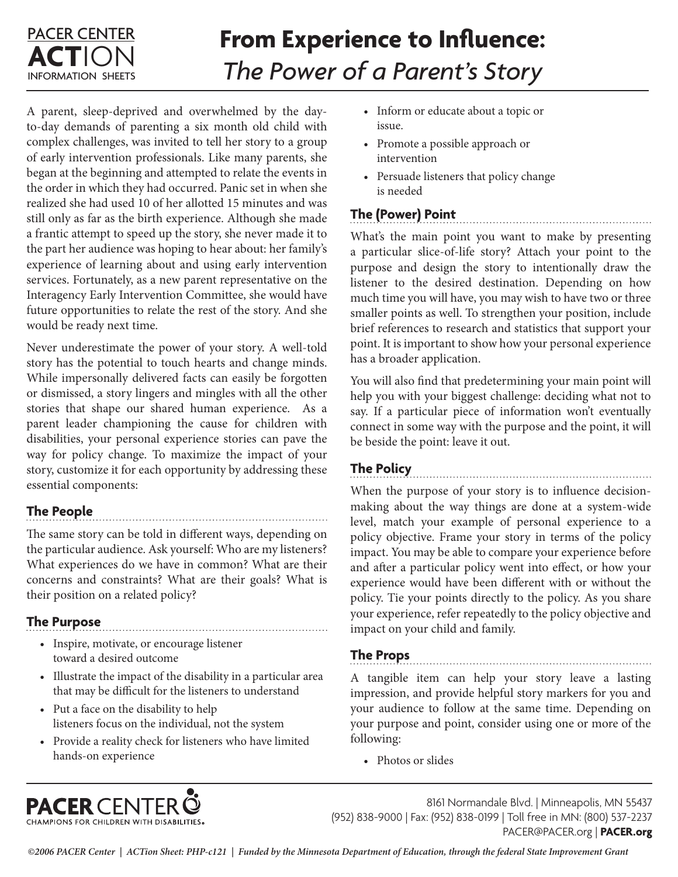## PACER CENTER **ACT**ION INFORMATION SHEETS

# **From Experience to Influence:**  *The Power of a Parent's Story*

A parent, sleep-deprived and overwhelmed by the dayto-day demands of parenting a six month old child with complex challenges, was invited to tell her story to a group of early intervention professionals. Like many parents, she began at the beginning and attempted to relate the events in the order in which they had occurred. Panic set in when she realized she had used 10 of her allotted 15 minutes and was still only as far as the birth experience. Although she made a frantic attempt to speed up the story, she never made it to the part her audience was hoping to hear about: her family's experience of learning about and using early intervention services. Fortunately, as a new parent representative on the Interagency Early Intervention Committee, she would have future opportunities to relate the rest of the story. And she would be ready next time.

Never underestimate the power of your story. A well-told story has the potential to touch hearts and change minds. While impersonally delivered facts can easily be forgotten or dismissed, a story lingers and mingles with all the other stories that shape our shared human experience. As a parent leader championing the cause for children with disabilities, your personal experience stories can pave the way for policy change. To maximize the impact of your story, customize it for each opportunity by addressing these essential components:

## **The People**

The same story can be told in different ways, depending on the particular audience. Ask yourself: Who are my listeners? What experiences do we have in common? What are their concerns and constraints? What are their goals? What is their position on a related policy?

## **The Purpose**

• Inspire, motivate, or encourage listener toward a desired outcome

**PACER CENTER @** 

• Illustrate the impact of the disability in a particular area that may be difficult for the listeners to understand

- Put a face on the disability to help listeners focus on the individual, not the system
- Provide a reality check for listeners who have limited hands-on experience
- Inform or educate about a topic or issue.
- Promote a possible approach or intervention
- Persuade listeners that policy change is needed

# **The (Power) Point**

What's the main point you want to make by presenting a particular slice-of-life story? Attach your point to the purpose and design the story to intentionally draw the listener to the desired destination. Depending on how much time you will have, you may wish to have two or three smaller points as well. To strengthen your position, include brief references to research and statistics that support your point. It is important to show how your personal experience has a broader application.

You will also find that predetermining your main point will help you with your biggest challenge: deciding what not to say. If a particular piece of information won't eventually connect in some way with the purpose and the point, it will be beside the point: leave it out.

## **The Policy**

When the purpose of your story is to influence decisionmaking about the way things are done at a system-wide level, match your example of personal experience to a policy objective. Frame your story in terms of the policy impact. You may be able to compare your experience before and after a particular policy went into effect, or how your experience would have been different with or without the policy. Tie your points directly to the policy. As you share your experience, refer repeatedly to the policy objective and impact on your child and family.

## **The Props**

A tangible item can help your story leave a lasting impression, and provide helpful story markers for you and your audience to follow at the same time. Depending on your purpose and point, consider using one or more of the following:

• Photos or slides